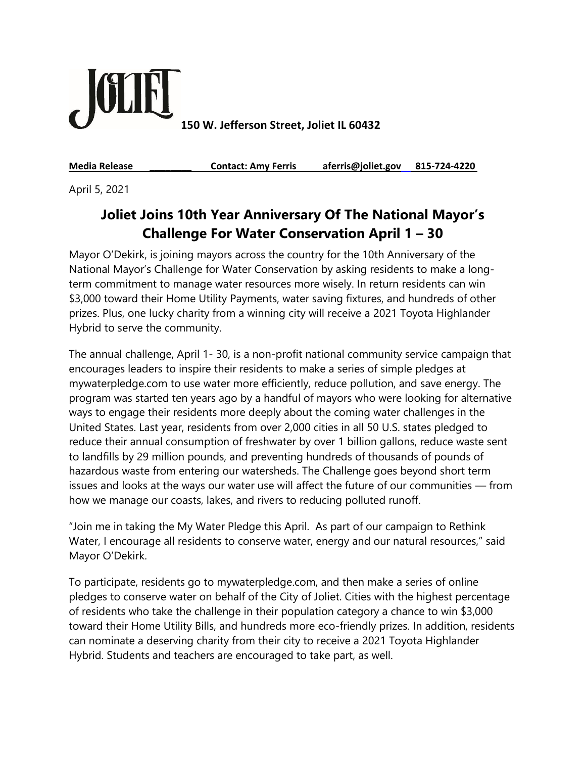

**150 W. Jefferson Street, Joliet IL 60432**

**Media Release \_\_\_\_\_\_\_\_ Contact: Amy Ferris aferris@joliet.gov 815-724-4220**

April 5, 2021

## **Joliet Joins 10th Year Anniversary Of The National Mayor's Challenge For Water Conservation April 1 – 30**

Mayor O'Dekirk, is joining mayors across the country for the 10th Anniversary of the National Mayor's Challenge for Water Conservation by asking residents to make a longterm commitment to manage water resources more wisely. In return residents can win \$3,000 toward their Home Utility Payments, water saving fixtures, and hundreds of other prizes. Plus, one lucky charity from a winning city will receive a 2021 Toyota Highlander Hybrid to serve the community.

The annual challenge, April 1- 30, is a non-profit national community service campaign that encourages leaders to inspire their residents to make a series of simple pledges at mywaterpledge.com to use water more efficiently, reduce pollution, and save energy. The program was started ten years ago by a handful of mayors who were looking for alternative ways to engage their residents more deeply about the coming water challenges in the United States. Last year, residents from over 2,000 cities in all 50 U.S. states pledged to reduce their annual consumption of freshwater by over 1 billion gallons, reduce waste sent to landfills by 29 million pounds, and preventing hundreds of thousands of pounds of hazardous waste from entering our watersheds. The Challenge goes beyond short term issues and looks at the ways our water use will affect the future of our communities — from how we manage our coasts, lakes, and rivers to reducing polluted runoff.

"Join me in taking the My Water Pledge this April. As part of our campaign to Rethink Water, I encourage all residents to conserve water, energy and our natural resources," said Mayor O'Dekirk.

To participate, residents go to mywaterpledge.com, and then make a series of online pledges to conserve water on behalf of the City of Joliet. Cities with the highest percentage of residents who take the challenge in their population category a chance to win \$3,000 toward their Home Utility Bills, and hundreds more eco-friendly prizes. In addition, residents can nominate a deserving charity from their city to receive a 2021 Toyota Highlander Hybrid. Students and teachers are encouraged to take part, as well.